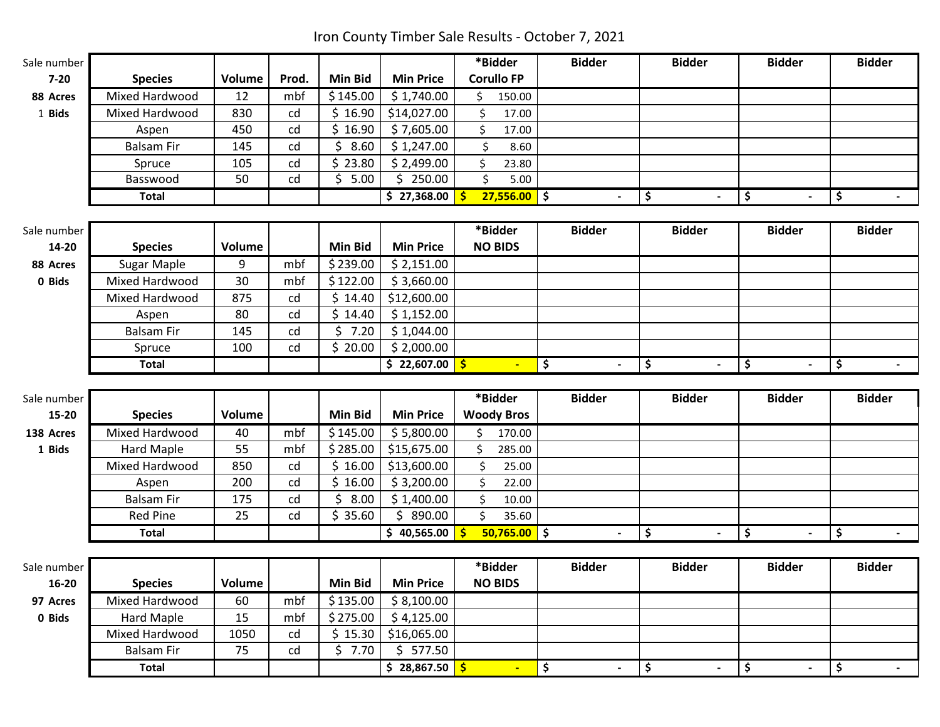Iron County Timber Sale Results - October 7, 2021

| Sale number |                               |            |                                  |                   |                          | *Bidder             | <b>Bidder</b>                  | <b>Bidder</b>        | <b>Bidder</b>        | <b>Bidder</b> |
|-------------|-------------------------------|------------|----------------------------------|-------------------|--------------------------|---------------------|--------------------------------|----------------------|----------------------|---------------|
| $7 - 20$    | <b>Species</b>                | Volume     | Prod.                            | <b>Min Bid</b>    | <b>Min Price</b>         | <b>Corullo FP</b>   |                                |                      |                      |               |
| 88 Acres    | Mixed Hardwood                | 12         | mbf                              | \$145.00          | \$1,740.00               | \$<br>150.00        |                                |                      |                      |               |
| 1 Bids      | Mixed Hardwood                | 830        | cd                               | \$16.90           | \$14,027.00              | \$<br>17.00         |                                |                      |                      |               |
|             | Aspen                         | 450        | cd                               | \$16.90           | \$7,605.00               | \$<br>17.00         |                                |                      |                      |               |
|             | <b>Balsam Fir</b>             | 145        | cd                               | \$8.60            | \$1,247.00               | $\zeta$<br>8.60     |                                |                      |                      |               |
|             | Spruce                        | 105        | cd                               | \$23.80           | \$2,499.00               | \$<br>23.80         |                                |                      |                      |               |
|             | Basswood                      | 50         | cd                               | \$5.00            | \$250.00                 | \$<br>5.00          |                                |                      |                      |               |
|             | <b>Total</b>                  |            |                                  |                   | \$27,368.00              | $27,556.00$ \$<br>Ŝ | $\blacksquare$                 | \$<br>$\blacksquare$ | \$<br>$\overline{a}$ | \$<br>$\sim$  |
| Sale number |                               |            |                                  |                   |                          | *Bidder             | <b>Bidder</b>                  | <b>Bidder</b>        | <b>Bidder</b>        | <b>Bidder</b> |
| 14-20       | <b>Species</b>                | Volume     |                                  | <b>Min Bid</b>    | <b>Min Price</b>         | <b>NO BIDS</b>      |                                |                      |                      |               |
| 88 Acres    |                               | 9          | mbf                              | \$239.00          | \$2,151.00               |                     |                                |                      |                      |               |
|             | Sugar Maple<br>Mixed Hardwood | 30         | mbf                              | \$122.00          |                          |                     |                                |                      |                      |               |
| 0 Bids      | Mixed Hardwood                | 875        |                                  | \$14.40           | \$3,660.00               |                     |                                |                      |                      |               |
|             |                               | 80         | $\ensuremath{\mathsf{cd}}$<br>cd | \$14.40           | \$12,600.00              |                     |                                |                      |                      |               |
|             | Aspen                         |            |                                  |                   | \$1,152.00               |                     |                                |                      |                      |               |
|             | <b>Balsam Fir</b>             | 145<br>100 | cd<br>cd                         | \$7.20<br>\$20.00 | \$1,044.00<br>\$2,000.00 |                     |                                |                      |                      |               |
|             | Spruce                        |            |                                  |                   |                          |                     |                                |                      |                      |               |
|             | <b>Total</b>                  |            |                                  |                   | \$22,607.00              | -\$<br>÷.           | \$                             | \$                   | \$<br>$\blacksquare$ | \$            |
| Sale number |                               |            |                                  |                   |                          | *Bidder             | <b>Bidder</b>                  | <b>Bidder</b>        | <b>Bidder</b>        | <b>Bidder</b> |
| 15-20       | <b>Species</b>                | Volume     |                                  | <b>Min Bid</b>    | <b>Min Price</b>         | <b>Woody Bros</b>   |                                |                      |                      |               |
| 138 Acres   | Mixed Hardwood                | 40         | mbf                              | \$145.00          | \$5,800.00               | \$<br>170.00        |                                |                      |                      |               |
| 1 Bids      | Hard Maple                    | 55         | mbf                              | \$285.00          | \$15,675.00              | \$<br>285.00        |                                |                      |                      |               |
|             | Mixed Hardwood                | 850        | cd                               | \$16.00           | \$13,600.00              | $\zeta$<br>25.00    |                                |                      |                      |               |
|             | Aspen                         | 200        | cd                               | \$16.00           | \$3,200.00               | \$<br>22.00         |                                |                      |                      |               |
|             | <b>Balsam Fir</b>             | 175        | cd                               | \$<br>8.00        | \$1,400.00               | \$<br>10.00         |                                |                      |                      |               |
|             | <b>Red Pine</b>               | 25         | cd                               | \$35.60           | \$890.00                 | \$<br>35.60         |                                |                      |                      |               |
|             | <b>Total</b>                  |            |                                  |                   | \$40,565.00              | $50,765.00$ \$      |                                | \$                   | \$                   | \$            |
|             |                               |            |                                  |                   |                          |                     |                                |                      |                      |               |
| Sale number |                               |            |                                  |                   |                          | *Bidder             | <b>Bidder</b>                  | <b>Bidder</b>        | <b>Bidder</b>        | <b>Bidder</b> |
| $16 - 20$   | <b>Species</b>                | Volume     |                                  | <b>Min Bid</b>    | <b>Min Price</b>         | <b>NO BIDS</b>      |                                |                      |                      |               |
| 97 Acres    | Mixed Hardwood                | 60         | mbf                              | \$135.00          | \$8,100.00               |                     |                                |                      |                      |               |
| 0 Bids      | <b>Hard Maple</b>             | 15         | mbf                              | \$275.00          | \$4,125.00               |                     |                                |                      |                      |               |
|             | Mixed Hardwood                | 1050       | cd                               | \$15.30           | \$16,065.00              |                     |                                |                      |                      |               |
|             | <b>Balsam Fir</b>             | 75         | cd                               | \$7.70            | \$577.50                 |                     |                                |                      |                      |               |
|             | <b>Total</b>                  |            |                                  |                   | \$28,867.50              | $\blacksquare$      | \$<br>$\overline{\phantom{a}}$ | \$<br>$\blacksquare$ | \$<br>$\blacksquare$ | \$            |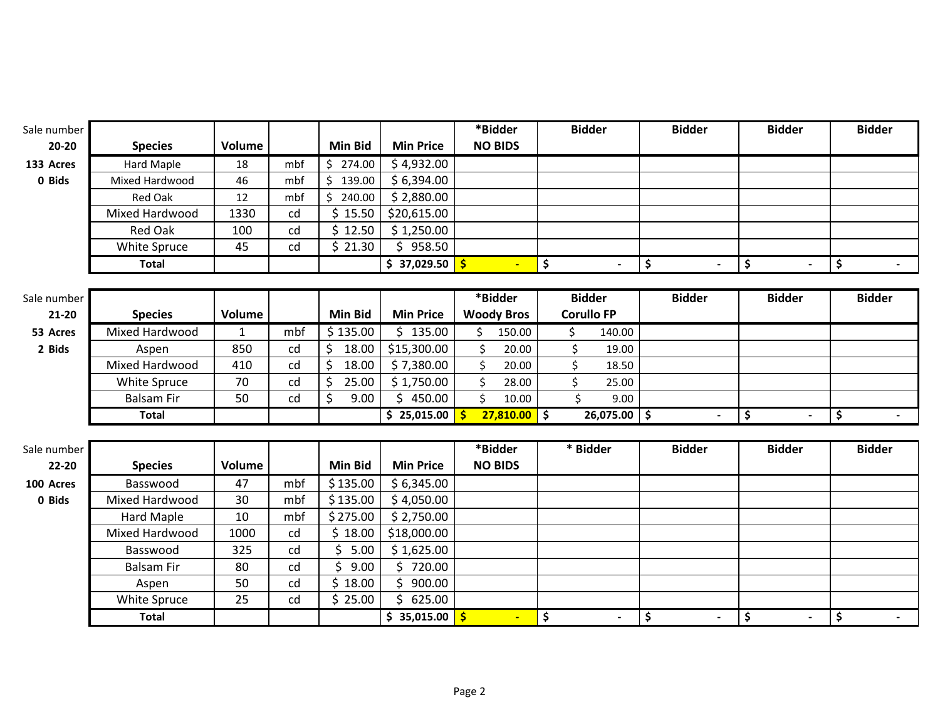| Sale number |                   |               |     |                |                  | *Bidder           | <b>Bidder</b>                              | <b>Bidder</b>        | <b>Bidder</b>        | <b>Bidder</b> |
|-------------|-------------------|---------------|-----|----------------|------------------|-------------------|--------------------------------------------|----------------------|----------------------|---------------|
| $20 - 20$   | <b>Species</b>    | Volume        |     | <b>Min Bid</b> | <b>Min Price</b> | <b>NO BIDS</b>    |                                            |                      |                      |               |
| 133 Acres   | Hard Maple        | 18            | mbf | \$274.00       | \$4,932.00       |                   |                                            |                      |                      |               |
| 0 Bids      | Mixed Hardwood    | 46            | mbf | 139.00<br>\$.  | \$6,394.00       |                   |                                            |                      |                      |               |
|             | <b>Red Oak</b>    | 12            | mbf | \$<br>240.00   | \$2,880.00       |                   |                                            |                      |                      |               |
|             | Mixed Hardwood    | 1330          | cd  | \$15.50        | \$20,615.00      |                   |                                            |                      |                      |               |
|             | <b>Red Oak</b>    | 100           | cd  | \$12.50        | \$1,250.00       |                   |                                            |                      |                      |               |
|             | White Spruce      | 45            | cd  | \$21.30        | \$958.50         |                   |                                            |                      |                      |               |
|             | <b>Total</b>      |               |     |                | \$37,029.50      | $\blacksquare$    | \$                                         | \$<br>$\blacksquare$ | \$<br>$\blacksquare$ | \$            |
|             |                   |               |     |                |                  |                   |                                            |                      |                      |               |
| Sale number |                   |               |     |                |                  | *Bidder           | <b>Bidder</b>                              | <b>Bidder</b>        | <b>Bidder</b>        | <b>Bidder</b> |
| $21 - 20$   | <b>Species</b>    | <b>Volume</b> |     | <b>Min Bid</b> | <b>Min Price</b> | <b>Woody Bros</b> | <b>Corullo FP</b>                          |                      |                      |               |
| 53 Acres    | Mixed Hardwood    | $\mathbf{1}$  | mbf | \$135.00       | \$135.00         | 150.00<br>\$      | \$<br>140.00                               |                      |                      |               |
| 2 Bids      | Aspen             | 850           | cd  | \$<br>18.00    | \$15,300.00      | \$<br>20.00       | \$<br>19.00                                |                      |                      |               |
|             | Mixed Hardwood    | 410           | cd  | \$<br>18.00    | \$7,380.00       | $\zeta$<br>20.00  | \$<br>18.50                                |                      |                      |               |
|             | White Spruce      | 70            | cd  | \$<br>25.00    | \$1,750.00       | \$<br>28.00       | \$<br>25.00                                |                      |                      |               |
|             | <b>Balsam Fir</b> | 50            | cd  | \$<br>9.00     | \$450.00         | \$<br>10.00       | \$<br>9.00                                 |                      |                      |               |
|             | <b>Total</b>      |               |     |                | \$25,015.00      | 27,810.00<br>Ś    | $\overline{\phantom{a}}$<br>$26,075.00$ \$ | $\blacksquare$       | \$<br>$\blacksquare$ | \$            |
|             |                   |               |     |                |                  |                   |                                            |                      |                      |               |
| Sale number |                   |               |     |                |                  | *Bidder           | * Bidder                                   | <b>Bidder</b>        | <b>Bidder</b>        | <b>Bidder</b> |
| $22 - 20$   | <b>Species</b>    | Volume        |     | Min Bid        | <b>Min Price</b> | <b>NO BIDS</b>    |                                            |                      |                      |               |
| 100 Acres   | Basswood          | 47            | mbf | \$135.00       | \$6,345.00       |                   |                                            |                      |                      |               |
| 0 Bids      | Mixed Hardwood    | 30            | mbf | \$135.00       | \$4,050.00       |                   |                                            |                      |                      |               |
|             | Hard Maple        | 10            | mbf | \$275.00       | \$2,750.00       |                   |                                            |                      |                      |               |
|             | Mixed Hardwood    | 1000          | cd  | \$18.00        | \$18,000.00      |                   |                                            |                      |                      |               |
|             | Basswood          | 325           | cd  | \$<br>5.00     | \$1,625.00       |                   |                                            |                      |                      |               |
|             | <b>Balsam Fir</b> | 80            | cd  | \$<br>9.00     | \$720.00         |                   |                                            |                      |                      |               |
|             | Aspen             | 50            | cd  | \$18.00        | 900.00<br>Ś.     |                   |                                            |                      |                      |               |
|             | White Spruce      | 25            | cd  | \$25.00        | Ś.<br>625.00     |                   |                                            |                      |                      |               |
|             | <b>Total</b>      |               |     |                | \$35,015.00      |                   | \$                                         | \$<br>$\blacksquare$ | \$<br>$\blacksquare$ | \$<br>$\sim$  |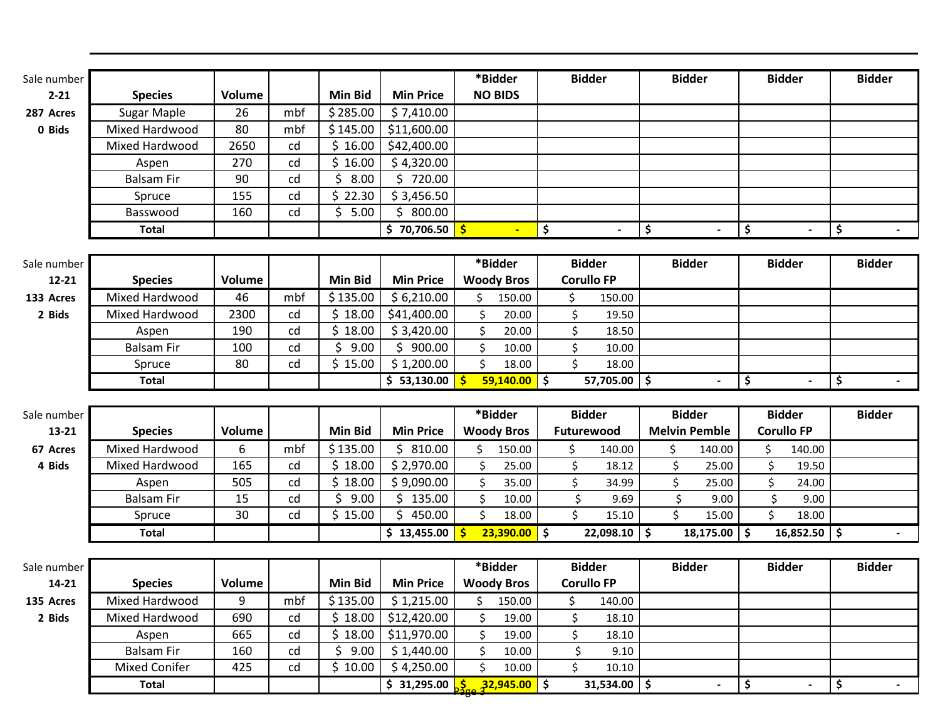| Sale number |                                      |               |          |                      |                                                                             |         | *Bidder           | <b>Bidder</b>                 | <b>Bidder</b>        |                    | <b>Bidder</b>     |        | <b>Bidder</b> |
|-------------|--------------------------------------|---------------|----------|----------------------|-----------------------------------------------------------------------------|---------|-------------------|-------------------------------|----------------------|--------------------|-------------------|--------|---------------|
| $2 - 21$    | <b>Species</b>                       | <b>Volume</b> |          | <b>Min Bid</b>       | <b>Min Price</b>                                                            |         | <b>NO BIDS</b>    |                               |                      |                    |                   |        |               |
|             |                                      |               | mbf      |                      |                                                                             |         |                   |                               |                      |                    |                   |        |               |
| 287 Acres   | <b>Sugar Maple</b>                   | 26<br>80      | mbf      | \$285.00<br>\$145.00 | \$7,410.00                                                                  |         |                   |                               |                      |                    |                   |        |               |
| 0 Bids      | Mixed Hardwood                       |               |          |                      | \$11,600.00                                                                 |         |                   |                               |                      |                    |                   |        |               |
|             | Mixed Hardwood                       | 2650          | cd<br>cd | \$16.00<br>\$16.00   | \$42,400.00                                                                 |         |                   |                               |                      |                    |                   |        |               |
|             | Aspen                                | 270           |          | \$                   | \$4,320.00                                                                  |         |                   |                               |                      |                    |                   |        |               |
|             | <b>Balsam Fir</b>                    | 90            | cd       | 8.00<br>\$22.30      | \$720.00                                                                    |         |                   |                               |                      |                    |                   |        |               |
|             | Spruce<br>Basswood                   | 155<br>160    | cd<br>cd | \$5.00               | \$3,456.50<br>\$800.00                                                      |         |                   |                               |                      |                    |                   |        |               |
|             | <b>Total</b>                         |               |          |                      | \$70,706.50                                                                 |         | $\blacksquare$    |                               |                      |                    |                   |        |               |
|             |                                      |               |          |                      |                                                                             |         |                   | \$                            | \$                   | \$                 |                   |        | \$            |
| Sale number |                                      |               |          |                      |                                                                             |         | *Bidder           | <b>Bidder</b>                 | <b>Bidder</b>        |                    | <b>Bidder</b>     |        | <b>Bidder</b> |
| $12 - 21$   | <b>Species</b>                       | <b>Volume</b> |          | <b>Min Bid</b>       | <b>Min Price</b>                                                            |         | <b>Woody Bros</b> | <b>Corullo FP</b>             |                      |                    |                   |        |               |
| 133 Acres   | Mixed Hardwood                       | 46            | mbf      | \$135.00             | \$6,210.00                                                                  | \$      | 150.00            | \$<br>150.00                  |                      |                    |                   |        |               |
| 2 Bids      | Mixed Hardwood                       | 2300          | cd       | \$18.00              | \$41,400.00                                                                 | \$      | 20.00             | \$<br>19.50                   |                      |                    |                   |        |               |
|             | Aspen                                | 190           | cd       | \$18.00              | \$3,420.00                                                                  | $\zeta$ | 20.00             | \$<br>18.50                   |                      |                    |                   |        |               |
|             | <b>Balsam Fir</b>                    | 100           | cd       | \$<br>9.00           | \$900.00                                                                    | \$      | 10.00             | \$<br>10.00                   |                      |                    |                   |        |               |
|             | Spruce                               | 80            | cd       | \$15.00              | \$1,200.00                                                                  | \$      | 18.00             | \$<br>18.00                   |                      |                    |                   |        |               |
|             |                                      |               |          |                      |                                                                             |         |                   |                               |                      |                    |                   |        |               |
|             | <b>Total</b>                         |               |          |                      | \$53,130.00                                                                 |         | $59,140.00$ \$    | 57,705.00 \$                  | $\blacksquare$       | \$                 |                   |        | \$            |
|             |                                      |               |          |                      |                                                                             |         |                   |                               |                      |                    |                   |        |               |
| Sale number |                                      |               |          |                      |                                                                             |         | *Bidder           | <b>Bidder</b>                 | <b>Bidder</b>        |                    | <b>Bidder</b>     |        | <b>Bidder</b> |
| 13-21       | <b>Species</b>                       | <b>Volume</b> |          | <b>Min Bid</b>       | <b>Min Price</b>                                                            |         | <b>Woody Bros</b> | Futurewood                    | <b>Melvin Pemble</b> |                    | <b>Corullo FP</b> |        |               |
| 67 Acres    | Mixed Hardwood                       | 6             | mbf      | \$135.00             | \$810.00                                                                    | \$      | 150.00            | \$<br>140.00                  | \$<br>140.00         |                    | \$                | 140.00 |               |
| 4 Bids      | Mixed Hardwood                       | 165           | cd       | \$18.00              | \$2,970.00                                                                  | \$      | 25.00             | \$<br>18.12                   | \$<br>25.00          |                    | \$                | 19.50  |               |
|             | Aspen                                | 505           | cd       | \$18.00              | \$9,090.00                                                                  | \$      | 35.00             | \$<br>34.99                   | \$<br>25.00          |                    | \$                | 24.00  |               |
|             | <b>Balsam Fir</b>                    | 15            | cd       | \$<br>9.00           | \$<br>135.00                                                                | \$      | 10.00             | \$<br>9.69                    | \$<br>9.00           |                    | \$                | 9.00   |               |
|             | Spruce                               | 30            | cd       | \$15.00              | 450.00<br>Ś.                                                                | \$      | 18.00             | \$<br>15.10                   | \$<br>15.00          |                    | \$                | 18.00  |               |
|             | <b>Total</b>                         |               |          |                      | \$13,455.00                                                                 | -\$     | $23,390.00$ \$    | $22,098.10$ \$                | 18,175.00            | $\vert \mathsf{s}$ | $16,852.50$ \$    |        | $\sim$        |
|             |                                      |               |          |                      |                                                                             |         |                   |                               |                      |                    |                   |        |               |
| Sale number |                                      |               |          |                      |                                                                             |         | *Bidder           | <b>Bidder</b>                 | <b>Bidder</b>        |                    | <b>Bidder</b>     |        | <b>Bidder</b> |
| 14-21       | <b>Species</b>                       | <b>Volume</b> |          | <b>Min Bid</b>       | <b>Min Price</b>                                                            |         | <b>Woody Bros</b> | <b>Corullo FP</b>             |                      |                    |                   |        |               |
| 135 Acres   | Mixed Hardwood                       | 9             | mbf      | \$135.00             | \$1,215.00                                                                  | \$      | 150.00            | \$<br>140.00                  |                      |                    |                   |        |               |
| 2 Bids      | Mixed Hardwood                       | 690           | cd       | \$18.00              | \$12,420.00                                                                 | \$      | 19.00             | \$<br>18.10                   |                      |                    |                   |        |               |
|             | Aspen                                | 665           | cd       | \$18.00              | \$11,970.00                                                                 | \$      | 19.00             | \$<br>18.10                   |                      |                    |                   |        |               |
|             | <b>Balsam Fir</b>                    | 160           | cd       | \$9.00               | \$1,440.00                                                                  | \$      | 10.00             | \$<br>9.10                    |                      |                    |                   |        |               |
|             | <b>Mixed Conifer</b><br><b>Total</b> | 425           | cd       | \$10.00              | \$4,250.00<br>$\frac{1}{2}$ 31,295.00 $\frac{1}{2}$ 32,945.00 $\frac{1}{2}$ | \$      | 10.00             | \$<br>10.10<br>$31,534.00$ \$ |                      | \$                 |                   |        | \$            |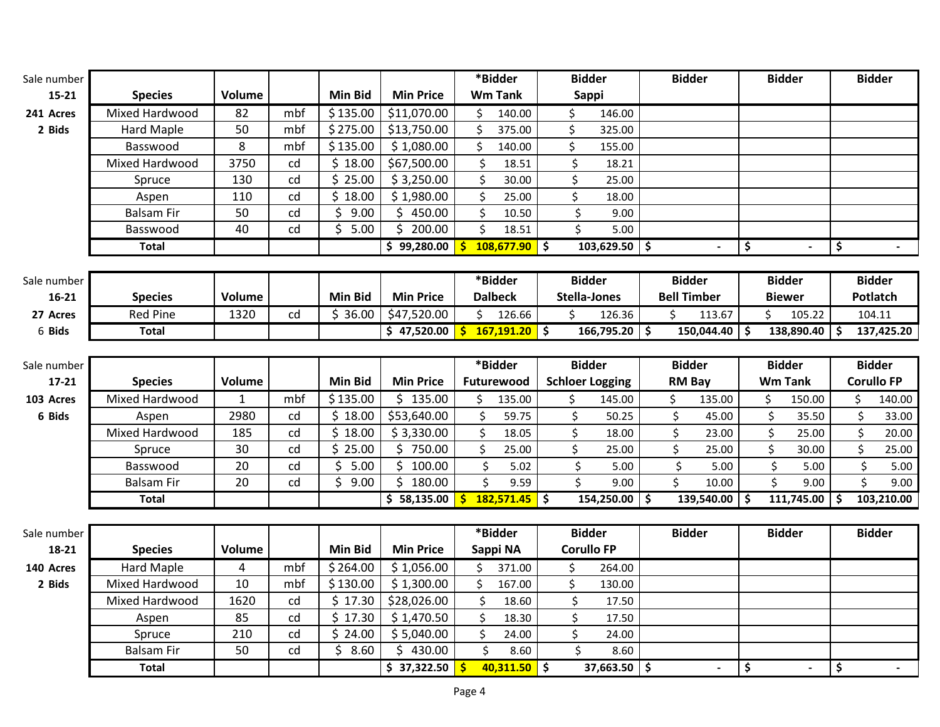| Sale number |                   |               |     |                     |                       |         | *Bidder         | <b>Bidder</b>          |                      | <b>Bidder</b>      |               | <b>Bidder</b>  |            |    | <b>Bidder</b> |                   |
|-------------|-------------------|---------------|-----|---------------------|-----------------------|---------|-----------------|------------------------|----------------------|--------------------|---------------|----------------|------------|----|---------------|-------------------|
| $15 - 21$   | <b>Species</b>    | <b>Volume</b> |     | <b>Min Bid</b>      | <b>Min Price</b>      |         | <b>Wm Tank</b>  | <b>Sappi</b>           |                      |                    |               |                |            |    |               |                   |
| 241 Acres   | Mixed Hardwood    | 82            | mbf | \$135.00            | \$11,070.00           | \$      | 140.00          | \$<br>146.00           |                      |                    |               |                |            |    |               |                   |
| 2 Bids      | <b>Hard Maple</b> | 50            | mbf | \$275.00            | \$13,750.00           | \$      | 375.00          | \$<br>325.00           |                      |                    |               |                |            |    |               |                   |
|             | Basswood          | 8             | mbf | \$135.00            | \$1,080.00            | \$      | 140.00          | \$<br>155.00           |                      |                    |               |                |            |    |               |                   |
|             | Mixed Hardwood    | 3750          | cd  | \$18.00             | \$67,500.00           | \$      | 18.51           | \$<br>18.21            |                      |                    |               |                |            |    |               |                   |
|             | Spruce            | 130           | cd  | \$25.00             | \$3,250.00            | \$      | 30.00           | \$<br>25.00            |                      |                    |               |                |            |    |               |                   |
|             | Aspen             | 110           | cd  | \$18.00             | \$1,980.00            | $\zeta$ | 25.00           | \$<br>18.00            |                      |                    |               |                |            |    |               |                   |
|             | <b>Balsam Fir</b> | 50            | cd  | \$9.00              | \$450.00              | $\zeta$ | 10.50           | \$<br>9.00             |                      |                    |               |                |            |    |               |                   |
|             | Basswood          | 40            | cd  | $\overline{5}$ 5.00 | $\overline{5}$ 200.00 | \$      | 18.51           | \$<br>5.00             |                      |                    |               |                |            |    |               |                   |
|             | <b>Total</b>      |               |     |                     | \$99,280.00           | Ś.      | $108,677.90$ \$ | 103,629.50             | $\overline{\bullet}$ |                    |               | \$             |            | \$ |               |                   |
|             |                   |               |     |                     |                       |         |                 |                        |                      |                    |               |                |            |    |               |                   |
| Sale number |                   |               |     |                     |                       |         | *Bidder         | <b>Bidder</b>          |                      | <b>Bidder</b>      |               | <b>Bidder</b>  |            |    | <b>Bidder</b> |                   |
| $16 - 21$   | <b>Species</b>    | Volume        |     | <b>Min Bid</b>      | <b>Min Price</b>      |         | <b>Dalbeck</b>  | <b>Stella-Jones</b>    |                      | <b>Bell Timber</b> |               | <b>Biewer</b>  |            |    | Potlatch      |                   |
| 27 Acres    | <b>Red Pine</b>   | 1320          | cd  | \$36.00             | \$47,520.00           | Ś.      | 126.66          | \$<br>126.36           |                      | \$                 | 113.67        | \$             | 105.22     |    | 104.11        |                   |
| 6 Bids      | <b>Total</b>      |               |     |                     | \$47,520.00           |         | $167,191.20$ \$ | 166,795.20 \$          |                      |                    | 150,044.40 \$ |                | 138,890.40 | Ŝ. |               | 137,425.20        |
|             |                   |               |     |                     |                       |         |                 |                        |                      |                    |               |                |            |    |               |                   |
| Sale number |                   |               |     |                     |                       |         | *Bidder         | <b>Bidder</b>          |                      | <b>Bidder</b>      |               | <b>Bidder</b>  |            |    | <b>Bidder</b> |                   |
| $17 - 21$   | <b>Species</b>    | Volume        |     | <b>Min Bid</b>      | <b>Min Price</b>      |         | Futurewood      | <b>Schloer Logging</b> |                      | <b>RM Bay</b>      |               | <b>Wm Tank</b> |            |    |               | <b>Corullo FP</b> |
| 103 Acres   | Mixed Hardwood    | $\mathbf{1}$  | mbf | \$135.00            | \$135.00              | \$      | 135.00          | \$<br>145.00           |                      | \$                 | 135.00        | \$             | 150.00     |    | \$            | 140.00            |
| 6 Bids      | Aspen             | 2980          | cd  | \$18.00             | \$53,640.00           | \$      | 59.75           | \$<br>50.25            |                      | \$                 | 45.00         | \$             | 35.50      |    | \$            | 33.00             |
|             | Mixed Hardwood    | 185           | cd  | \$18.00             | \$3,330.00            | $\zeta$ | 18.05           | \$<br>18.00            |                      | \$                 | 23.00         | \$             | 25.00      |    | \$            | 20.00             |
|             | Spruce            | 30            | cd  | \$25.00             | \$750.00              | $\zeta$ | 25.00           | \$<br>25.00            |                      | \$                 | 25.00         | \$             | 30.00      |    | \$            | 25.00             |
|             | Basswood          | 20            | cd  | \$<br>5.00          | \$100.00              | $\zeta$ | 5.02            | \$<br>5.00             |                      | $\zeta$            | 5.00          | \$             | 5.00       |    | \$            | 5.00              |
|             | <b>Balsam Fir</b> | 20            | cd  | $\overline{5}$ 9.00 | \$180.00              | Ś.      | 9.59            | \$<br>9.00             |                      | $\zeta$            | 10.00         | Ś.             | 9.00       |    | \$            | 9.00              |
|             | <b>Total</b>      |               |     |                     | \$58,135.00           | Ś.      | $182,571.45$ \$ | 154,250.00             | <b>S</b>             |                    | 139,540.00 \$ |                | 111,745.00 | Ŝ. |               | 103,210.00        |
|             |                   |               |     |                     |                       |         |                 |                        |                      |                    |               |                |            |    |               |                   |
| Sale number |                   |               |     |                     |                       |         | *Bidder         | <b>Bidder</b>          |                      | <b>Bidder</b>      |               | <b>Bidder</b>  |            |    | <b>Bidder</b> |                   |
| 18-21       | <b>Species</b>    | Volume        |     | <b>Min Bid</b>      | <b>Min Price</b>      |         | Sappi NA        | <b>Corullo FP</b>      |                      |                    |               |                |            |    |               |                   |
| 140 Acres   | <b>Hard Maple</b> | 4             | mbf | \$264.00            | \$1,056.00            | \$      | 371.00          | \$<br>264.00           |                      |                    |               |                |            |    |               |                   |
| 2 Bids      | Mixed Hardwood    | 10            | mbf | \$130.00            | \$1,300.00            | \$      | 167.00          | \$<br>130.00           |                      |                    |               |                |            |    |               |                   |
|             | Mixed Hardwood    | 1620          | cd  | \$17.30             | \$28,026.00           | $\zeta$ | 18.60           | \$<br>17.50            |                      |                    |               |                |            |    |               |                   |
|             | Aspen             | 85            | cd  | \$17.30             | \$1,470.50            | $\zeta$ | 18.30           | \$<br>17.50            |                      |                    |               |                |            |    |               |                   |
|             | Spruce            | 210           | cd  | \$24.00             | \$5,040.00            | \$      | 24.00           | \$<br>24.00            |                      |                    |               |                |            |    |               |                   |
|             |                   |               |     |                     |                       |         |                 |                        |                      |                    |               |                |            |    |               |                   |
|             | <b>Balsam Fir</b> | 50            | cd  | \$8.60              | \$430.00              | \$      | 8.60            | $\zeta$<br>8.60        |                      |                    |               |                |            |    |               |                   |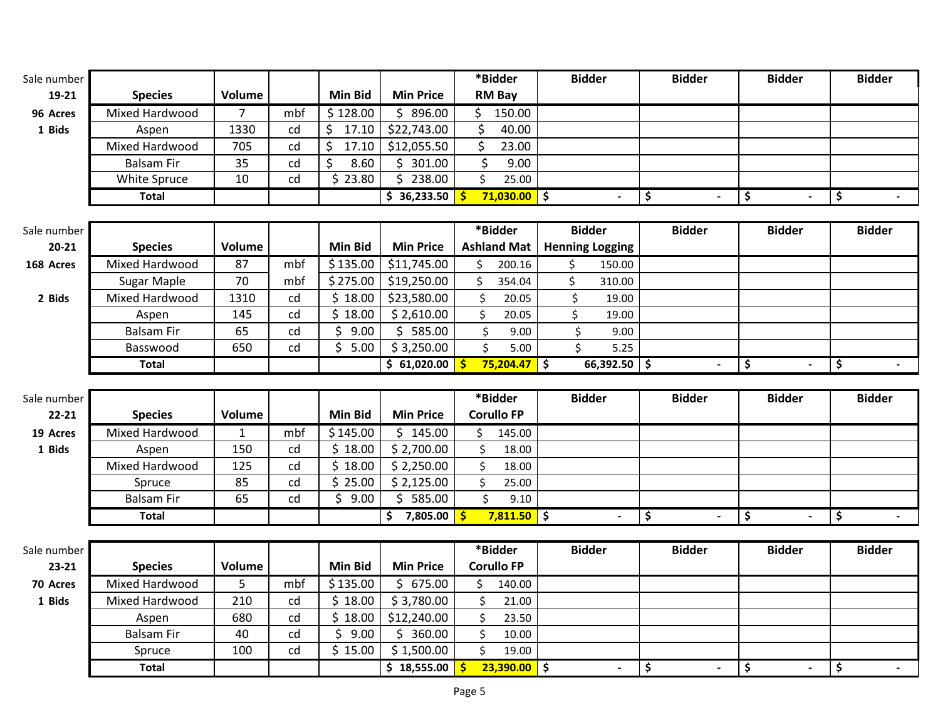| Sale number |                        |                |     |                |                           | *Bidder                                   | <b>Bidder</b>            | <b>Bidder</b>        | <b>Bidder</b> | <b>Bidder</b> |
|-------------|------------------------|----------------|-----|----------------|---------------------------|-------------------------------------------|--------------------------|----------------------|---------------|---------------|
| 19-21       | <b>Species</b>         | Volume         |     | <b>Min Bid</b> | <b>Min Price</b>          | <b>RM Bay</b>                             |                          |                      |               |               |
| 96 Acres    | Mixed Hardwood         | $\overline{7}$ | mbf | \$128.00       | \$896.00                  | 150.00<br>\$                              |                          |                      |               |               |
| 1 Bids      | Aspen                  | 1330           | cd  | \$<br>17.10    | \$22,743.00               | \$<br>40.00                               |                          |                      |               |               |
|             | Mixed Hardwood         | 705            | cd  | \$<br>17.10    | \$12,055.50               | \$<br>23.00                               |                          |                      |               |               |
|             | <b>Balsam Fir</b>      | 35             | cd  | \$<br>8.60     | \$.<br>301.00             | \$<br>9.00                                |                          |                      |               |               |
|             | White Spruce           | 10             | cd  | \$23.80        | \$<br>238.00              | $\zeta$<br>25.00                          |                          |                      |               |               |
|             | <b>Total</b>           |                |     |                | \$36,233.50               | $71,030.00$ \$<br>Ŝ.                      |                          | \$                   | \$            | \$            |
|             |                        |                |     |                |                           |                                           |                          |                      |               |               |
| Sale number |                        |                |     |                |                           | *Bidder                                   | <b>Bidder</b>            | <b>Bidder</b>        | <b>Bidder</b> | <b>Bidder</b> |
| $20 - 21$   | <b>Species</b>         | Volume         |     | <b>Min Bid</b> | <b>Min Price</b>          | <b>Ashland Mat</b>                        | <b>Henning Logging</b>   |                      |               |               |
| 168 Acres   | Mixed Hardwood         | 87             | mbf | \$135.00       | \$11,745.00               | Ś.<br>200.16                              | \$<br>150.00             |                      |               |               |
|             | Sugar Maple            | 70             | mbf | \$275.00       | \$19,250.00               | \$<br>354.04                              | \$<br>310.00             |                      |               |               |
| 2 Bids      | Mixed Hardwood         | 1310           | cd  | \$18.00        | \$23,580.00               | \$<br>20.05                               | \$<br>19.00              |                      |               |               |
|             | Aspen                  | 145            | cd  | \$18.00        | \$2,610.00                | \$<br>20.05                               | \$<br>19.00              |                      |               |               |
|             | <b>Balsam Fir</b>      | 65             | cd  | \$<br>9.00     | \$585.00                  | \$<br>9.00                                | \$<br>9.00               |                      |               |               |
|             | Basswood               | 650            | cd  | \$5.00         | \$3,250.00                | \$<br>5.00                                | \$<br>5.25               |                      |               |               |
|             | <b>Total</b>           |                |     |                | \$61,020.00               | $75,204.47$ \$<br>-S                      | $66,392.50$ \$           | $\sim$               | \$            | \$            |
|             |                        |                |     |                |                           |                                           |                          |                      |               |               |
|             |                        |                |     |                |                           |                                           |                          |                      |               |               |
| Sale number |                        |                |     |                |                           | *Bidder                                   | <b>Bidder</b>            | <b>Bidder</b>        | <b>Bidder</b> | <b>Bidder</b> |
| $22 - 21$   | <b>Species</b>         | Volume         |     | <b>Min Bid</b> | <b>Min Price</b>          | <b>Corullo FP</b>                         |                          |                      |               |               |
| 19 Acres    | Mixed Hardwood         | $\mathbf 1$    | mbf | \$145.00       | \$145.00                  | \$<br>145.00                              |                          |                      |               |               |
| 1 Bids      | Aspen                  | 150            | cd  | \$18.00        | \$2,700.00                | \$<br>18.00                               |                          |                      |               |               |
|             | Mixed Hardwood         | 125            | cd  | \$18.00        | \$2,250.00                | \$<br>18.00                               |                          |                      |               |               |
|             | Spruce                 | 85             | cd  | \$25.00        | \$2,125.00                | \$<br>25.00                               |                          |                      |               |               |
|             | <b>Balsam Fir</b>      | 65             | cd  | \$<br>9.00     | 585.00<br>\$.             | \$<br>9.10                                |                          |                      |               |               |
|             | <b>Total</b>           |                |     |                | \$7,805.00                | $7,811.50$ \$                             | $\overline{\phantom{a}}$ | \$<br>$\blacksquare$ | \$            | \$            |
|             |                        |                |     |                |                           |                                           |                          |                      |               |               |
| Sale number |                        |                |     |                |                           | *Bidder                                   | <b>Bidder</b>            | <b>Bidder</b>        | <b>Bidder</b> | <b>Bidder</b> |
| 23-21       | <b>Species</b>         | Volume         |     | <b>Min Bid</b> | <b>Min Price</b>          | <b>Corullo FP</b>                         |                          |                      |               |               |
| 70 Acres    | Mixed Hardwood         | 5              | mbf | \$135.00       | \$675.00                  | \$<br>140.00                              |                          |                      |               |               |
| 1 Bids      | Mixed Hardwood         | 210            | cd  | \$18.00        | \$3,780.00                | \$<br>21.00                               |                          |                      |               |               |
|             | Aspen                  | 680            | cd  | \$18.00        | \$12,240.00               | \$<br>23.50                               |                          |                      |               |               |
|             | <b>Balsam Fir</b>      | 40             | cd  | \$9.00         | \$360.00                  | \$<br>10.00                               |                          |                      |               |               |
|             | Spruce<br><b>Total</b> | 100            | cd  | \$15.00        | \$1,500.00<br>\$18,555.00 | $\zeta$<br>19.00<br>$23,390.00$ \$<br>-\$ |                          | \$                   | \$            | \$            |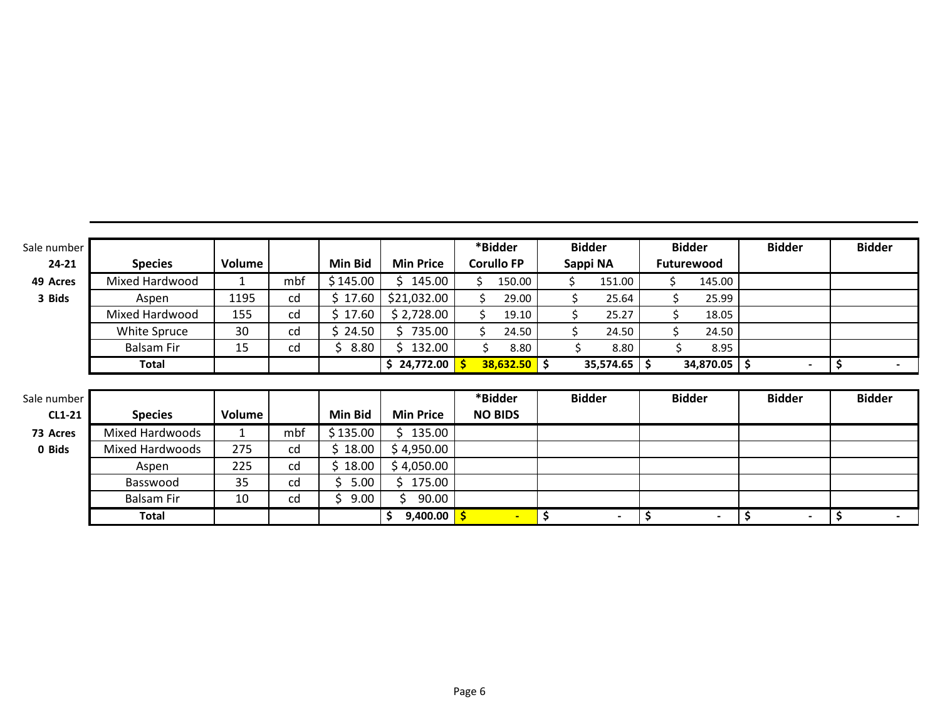| Sale number   |                   |        |     |                |                   | *Bidder           | <b>Bidder</b>  | <b>Bidder</b> | <b>Bidder</b>  | <b>Bidder</b>        |
|---------------|-------------------|--------|-----|----------------|-------------------|-------------------|----------------|---------------|----------------|----------------------|
| $24 - 21$     | <b>Species</b>    | Volume |     | <b>Min Bid</b> | <b>Min Price</b>  | <b>Corullo FP</b> | Sappi NA       | Futurewood    |                |                      |
| 49 Acres      | Mixed Hardwood    |        | mbf | \$145.00       | 145.00            | 150.00            | 151.00<br>\$.  | Ś.<br>145.00  |                |                      |
| 3 Bids        | Aspen             | 1195   | cd  | \$17.60        | \$21,032.00       | 29.00             | \$<br>25.64    | 25.99         |                |                      |
|               | Mixed Hardwood    | 155    | cd  | \$17.60        | \$2,728.00        | \$<br>19.10       | \$<br>25.27    | \$<br>18.05   |                |                      |
|               | White Spruce      | 30     | cd  | \$24.50        | \$735.00          | \$<br>24.50       | \$<br>24.50    | Ś<br>24.50    |                |                      |
|               | <b>Balsam Fir</b> | 15     | cd  | 8.80<br>↘      | 132.00            | 8.80              | 8.80<br>S      | 8.95          |                |                      |
|               | <b>Total</b>      |        |     |                | \$24,772.00       | $38,632.50$ \$    | $35,574.65$ \$ | 34,870.05 \$  | $\blacksquare$ | \$<br>$\blacksquare$ |
|               |                   |        |     |                |                   |                   |                |               |                |                      |
| Sale number   |                   |        |     |                |                   | *Bidder           | <b>Bidder</b>  | <b>Bidder</b> | <b>Bidder</b>  | <b>Bidder</b>        |
| <b>CL1-21</b> | <b>Species</b>    | Volume |     | <b>Min Bid</b> | <b>Min Price</b>  | <b>NO BIDS</b>    |                |               |                |                      |
| 73 Acres      | Mixed Hardwoods   |        | mbf | \$135.00       | \$135.00          |                   |                |               |                |                      |
| 0 Bids        | Mixed Hardwoods   | 275    | cd  | \$18.00        | \$4,950.00        |                   |                |               |                |                      |
|               | Aspen             | 225    | cd  | \$18.00        | \$4,050.00        |                   |                |               |                |                      |
|               | Basswood          | 35     | cd  | \$5.00         | 175.00            |                   |                |               |                |                      |
|               | <b>Balsam Fir</b> | 10     | cd  | 9.00<br>S.     | 90.00             |                   |                |               |                |                      |
|               | <b>Total</b>      |        |     |                | \$<br>9,400.00 \$ |                   | \$             | \$            | \$ ا           | \$                   |